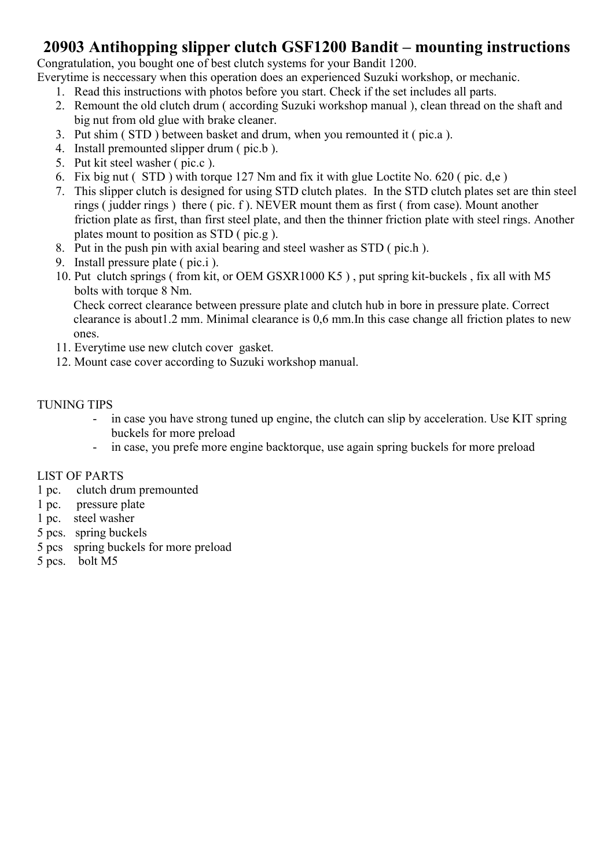#### 20903 Antihopping slipper clutch GSF1200 Bandit – mounting instructions

Congratulation, you bought one of best clutch systems for your Bandit 1200.

Everytime is neccessary when this operation does an experienced Suzuki workshop, or mechanic.

- 1. Read this instructions with photos before you start. Check if the set includes all parts.
- 2. Remount the old clutch drum ( according Suzuki workshop manual ), clean thread on the shaft and big nut from old glue with brake cleaner.
- 3. Put shim ( STD ) between basket and drum, when you remounted it ( pic.a ).
- 4. Install premounted slipper drum ( pic.b ).
- 5. Put kit steel washer ( pic.c ).
- 6. Fix big nut ( STD ) with torque 127 Nm and fix it with glue Loctite No. 620 ( pic. d,e )
- 7. This slipper clutch is designed for using STD clutch plates. In the STD clutch plates set are thin steel rings ( judder rings ) there ( pic. f ). NEVER mount them as first ( from case). Mount another friction plate as first, than first steel plate, and then the thinner friction plate with steel rings. Another plates mount to position as STD ( pic.g ).
- 8. Put in the push pin with axial bearing and steel washer as STD ( pic.h ).
- 9. Install pressure plate ( pic.i ).
- 10. Put clutch springs ( from kit, or OEM GSXR1000 K5 ) , put spring kit-buckels , fix all with M5 bolts with torque 8 Nm.

Check correct clearance between pressure plate and clutch hub in bore in pressure plate. Correct clearance is about1.2 mm. Minimal clearance is 0,6 mm.In this case change all friction plates to new ones.

- 11. Everytime use new clutch cover gasket.
- 12. Mount case cover according to Suzuki workshop manual.

#### TUNING TIPS

- in case you have strong tuned up engine, the clutch can slip by acceleration. Use KIT spring buckels for more preload
- in case, you prefe more engine backtorque, use again spring buckels for more preload

#### LIST OF PARTS

- 1 pc. clutch drum premounted
- 1 pc. pressure plate
- 1 pc. steel washer
- 5 pcs. spring buckels
- 5 pcs spring buckels for more preload
- 5 pcs. bolt M5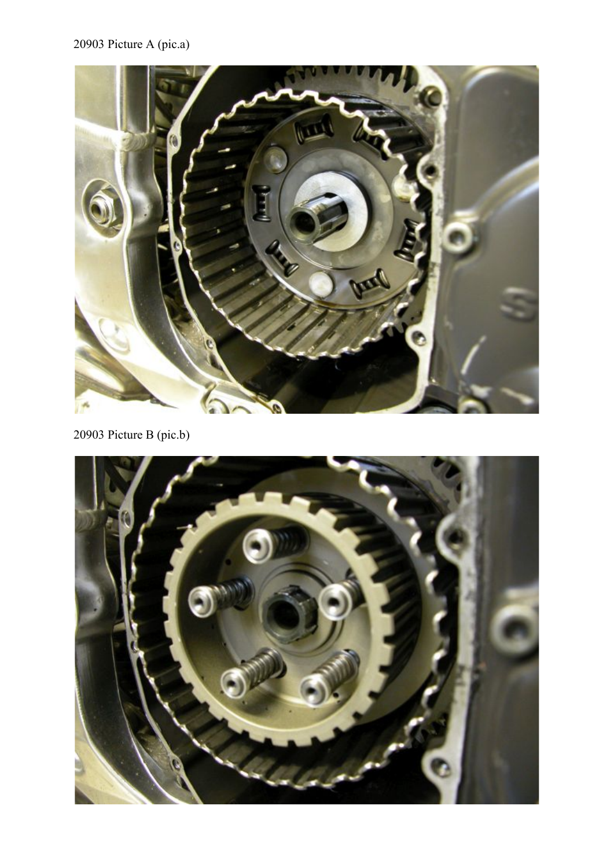# 20903 Picture A (pic.a)



20903 Picture B (pic.b)

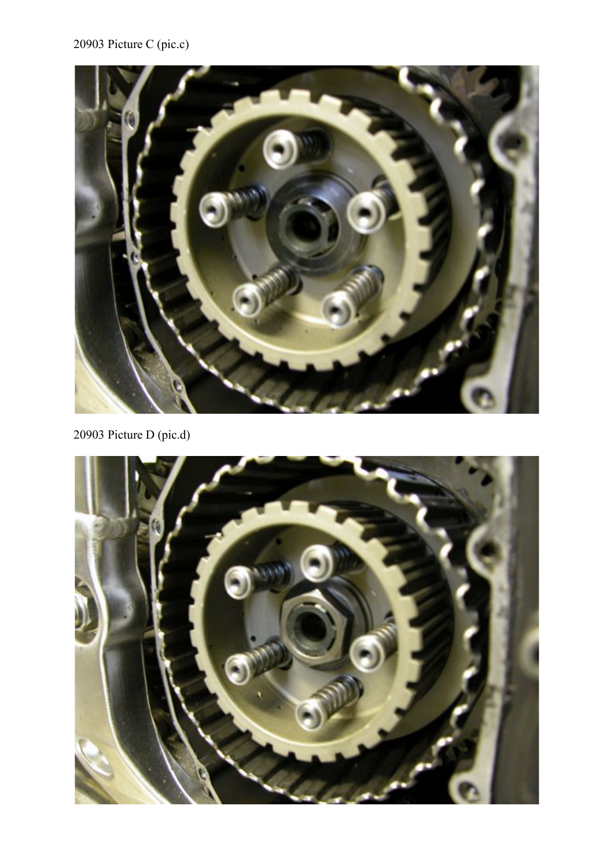## 20903 Picture C (pic.c)



20903 Picture D (pic.d)

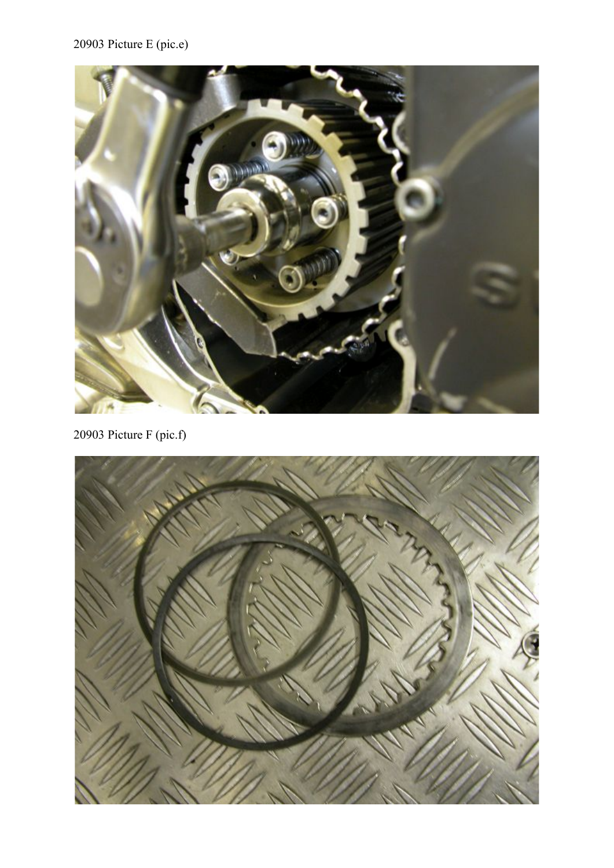### 20903 Picture E (pic.e)



20903 Picture F (pic.f)

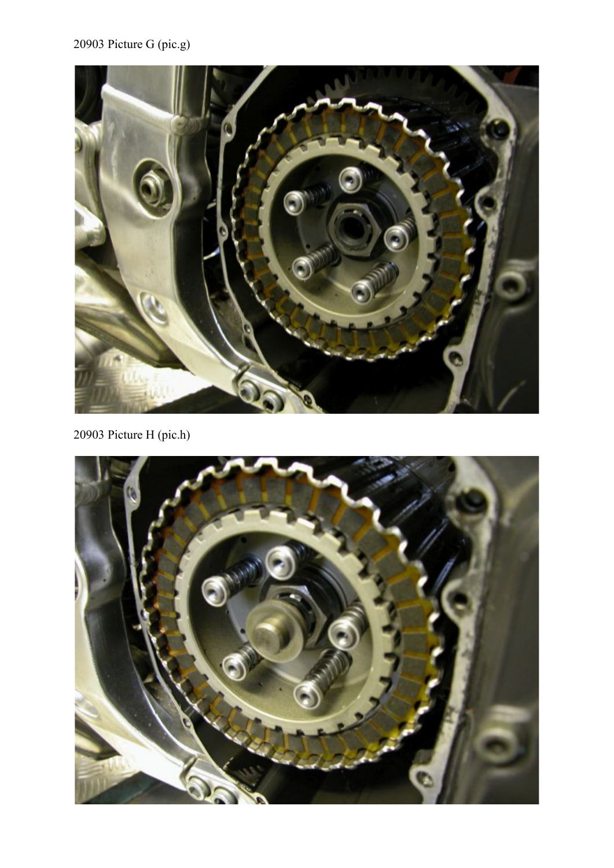## 20903 Picture G (pic.g)



20903 Picture H (pic.h)